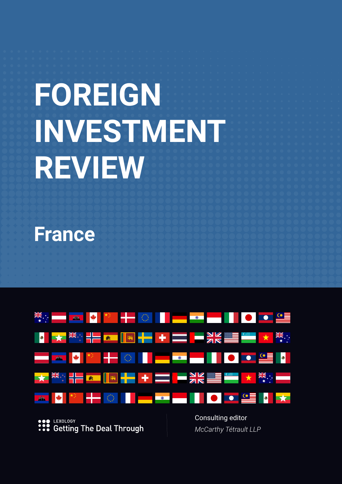# **FOREIGN INVESTMENT REVIEW**

**France**



LEXOLOGY **:::** Getting The Deal Through Consulting editor *McCarthy Tétrault LLP*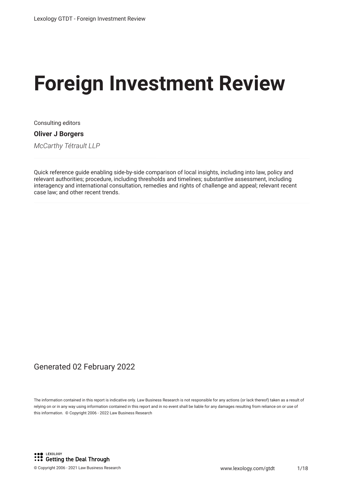# **Foreign Investment Review**

Consulting editors

#### **Oliver J Borgers**

*McCarthy Tétrault LLP*

Quick reference guide enabling side-by-side comparison of local insights, including into law, policy and relevant authorities; procedure, including thresholds and timelines; substantive assessment, including interagency and international consultation, remedies and rights of challenge and appeal; relevant recent case law; and other recent trends.

#### Generated 02 February 2022

The information contained in this report is indicative only. Law Business Research is not responsible for any actions (or lack thereof) taken as a result of relying on or in any way using information contained in this report and in no event shall be liable for any damages resulting from reliance on or use of this information. © Copyright 2006 - 2022 Law Business Research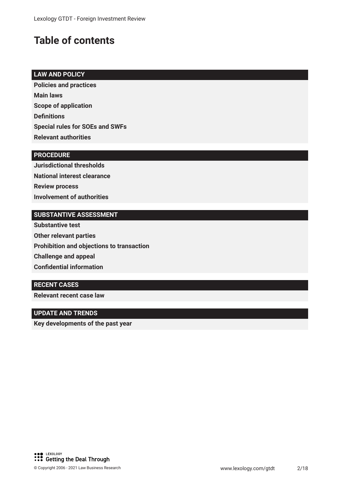## **Table of contents**

#### **LAW AND POLICY**

**Policies and practices Main laws Scope of application Defnitions Special rules for SOEs and SWFs Relevant authorities**

#### **PROCEDURE**

**Jurisdictional thresholds National interest clearance Review process Involvement of authorities**

#### **SUBSTANTIVE ASSESSMENT**

**Substantive test Other relevant parties Prohibition and objections to transaction Challenge and appeal Confdential information**

#### **RECENT CASES**

**Relevant recent case law**

#### **UPDATE AND TRENDS**

**Key developments of the past year**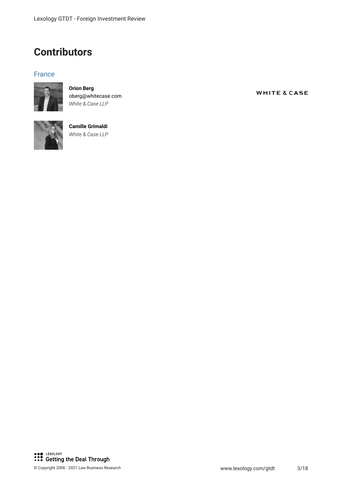### **Contributors**

#### France



**Orion Berg** oberg@whitecase.com *White & Case LLP*



**Camille Grimaldi** *White & Case LLP* **WHITE & CASE**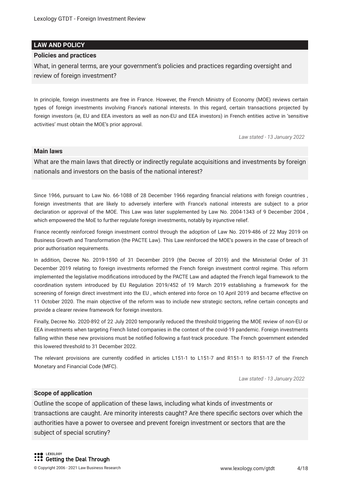#### **LAW AND POLICY**

#### **Policies and practices**

What, in general terms, are your government's policies and practices regarding oversight and review of foreign investment?

In principle, foreign investments are free in France. However, the French Ministry of Economy (MOE) reviews certain types of foreign investments involving France's national interests. In this regard, certain transactions projected by foreign investors (ie, EU and EEA investors as well as non-EU and EEA investors) in French entities active in 'sensitive activities' must obtain the MOE's prior approval.

*Law stated - 13 January 2022*

#### **Main laws**

What are the main laws that directly or indirectly regulate acquisitions and investments by foreign nationals and investors on the basis of the national interest?

Since 1966, pursuant to Law No. 66-1088 of 28 December 1966 regarding fnancial relations with foreign countries , foreign investments that are likely to adversely interfere with France's national interests are subject to a prior declaration or approval of the MOE. This Law was later supplemented by Law No. 2004-1343 of 9 December 2004 , which empowered the MoE to further regulate foreign investments, notably by injunctive relief.

France recently reinforced foreign investment control through the adoption of Law No. 2019-486 of 22 May 2019 on Business Growth and Transformation (the PACTE Law). This Law reinforced the MOE's powers in the case of breach of prior authorisation requirements.

In addition, Decree No. 2019-1590 of 31 December 2019 (the Decree of 2019) and the Ministerial Order of 31 December 2019 relating to foreign investments reformed the French foreign investment control regime. This reform implemented the legislative modifcations introduced by the PACTE Law and adapted the French legal framework to the coordination system introduced by EU Regulation 2019/452 of 19 March 2019 establishing a framework for the screening of foreign direct investment into the EU , which entered into force on 10 April 2019 and became effective on 11 October 2020. The main objective of the reform was to include new strategic sectors, refne certain concepts and provide a clearer review framework for foreign investors.

Finally, Decree No. 2020-892 of 22 July 2020 temporarily reduced the threshold triggering the MOE review of non-EU or EEA investments when targeting French listed companies in the context of the covid-19 pandemic. Foreign investments falling within these new provisions must be notifed following a fast-track procedure. The French government extended this lowered threshold to 31 December 2022.

The relevant provisions are currently codifed in articles L151-1 to L151-7 and R151-1 to R151-17 of the French Monetary and Financial Code (MFC).

*Law stated - 13 January 2022*

#### **Scope of application**

Outline the scope of application of these laws, including what kinds of investments or transactions are caught. Are minority interests caught? Are there specifc sectors over which the authorities have a power to oversee and prevent foreign investment or sectors that are the subject of special scrutiny?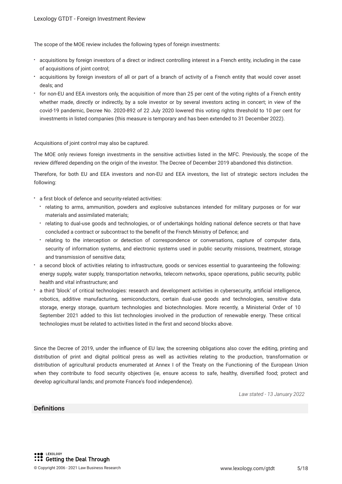The scope of the MOE review includes the following types of foreign investments:

- acquisitions by foreign investors of a direct or indirect controlling interest in a French entity, including in the case of acquisitions of joint control;
- acquisitions by foreign investors of all or part of a branch of activity of a French entity that would cover asset deals; and
- for non-EU and EEA investors only, the acquisition of more than 25 per cent of the voting rights of a French entity whether made, directly or indirectly, by a sole investor or by several investors acting in concert; in view of the covid-19 pandemic, Decree No. 2020-892 of 22 July 2020 lowered this voting rights threshold to 10 per cent for investments in listed companies (this measure is temporary and has been extended to 31 December 2022).

Acquisitions of joint control may also be captured.

The MOE only reviews foreign investments in the sensitive activities listed in the MFC. Previously, the scope of the review differed depending on the origin of the investor. The Decree of December 2019 abandoned this distinction.

Therefore, for both EU and EEA investors and non-EU and EEA investors, the list of strategic sectors includes the following:

- a frst block of defence and security-related activities:
	- relating to arms, ammunition, powders and explosive substances intended for military purposes or for war materials and assimilated materials;
	- relating to dual-use goods and technologies, or of undertakings holding national defence secrets or that have concluded a contract or subcontract to the beneft of the French Ministry of Defence; and
	- relating to the interception or detection of correspondence or conversations, capture of computer data, security of information systems, and electronic systems used in public security missions, treatment, storage and transmission of sensitive data;
- a second block of activities relating to infrastructure, goods or services essential to guaranteeing the following: energy supply, water supply, transportation networks, telecom networks, space operations, public security, public health and vital infrastructure; and
- a third 'block' of critical technologies: research and development activities in cybersecurity, artifcial intelligence, robotics, additive manufacturing, semiconductors, certain dual-use goods and technologies, sensitive data storage, energy storage, quantum technologies and biotechnologies. More recently, a Ministerial Order of 10 September 2021 added to this list technologies involved in the production of renewable energy. These critical technologies must be related to activities listed in the frst and second blocks above.

Since the Decree of 2019, under the infuence of EU law, the screening obligations also cover the editing, printing and distribution of print and digital political press as well as activities relating to the production, transformation or distribution of agricultural products enumerated at Annex I of the Treaty on the Functioning of the European Union when they contribute to food security objectives (ie, ensure access to safe, healthy, diversifed food; protect and develop agricultural lands; and promote France's food independence).

*Law stated - 13 January 2022*

#### **Defnitions**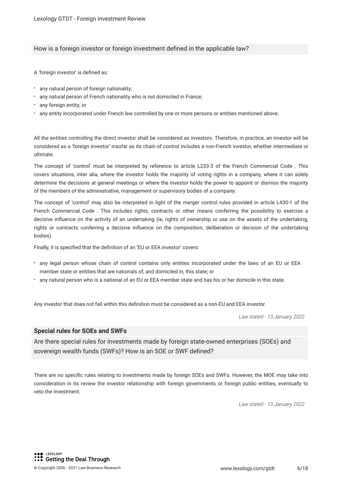#### How is a foreign investor or foreign investment defned in the applicable law?

A 'foreign investor' is defned as:

- any natural person of foreign nationality;
- any natural person of French nationality who is not domiciled in France;
- any foreign entity; or
- any entity incorporated under French law controlled by one or more persons or entities mentioned above.

All the entities controlling the direct investor shall be considered as investors. Therefore, in practice, an investor will be considered as a 'foreign investor' insofar as its chain of control includes a non-French investor, whether intermediate or ultimate.

The concept of 'control' must be interpreted by reference to article L233-3 of the French Commercial Code . This covers situations, inter alia, where the investor holds the majority of voting rights in a company, where it can solely determine the decisions at general meetings or where the investor holds the power to appoint or dismiss the majority of the members of the administrative, management or supervisory bodies of a company.

The concept of 'control' may also be interpreted in light of the merger control rules provided in article L430-1 of the French Commercial Code . This includes rights, contracts or other means conferring the possibility to exercise a decisive infuence on the activity of an undertaking (ie, rights of ownership or use on the assets of the undertaking, rights or contracts conferring a decisive infuence on the composition, deliberation or decision of the undertaking bodies).

Finally, it is specifed that the defnition of an 'EU or EEA investor' covers:

- any legal person whose chain of control contains only entities incorporated under the laws of an EU or EEA member state or entities that are nationals of, and domiciled in, this state; or
- any natural person who is a national of an EU or EEA member state and has his or her domicile in this state.

Any investor that does not fall within this defnition must be considered as a non-EU and EEA investor.

*Law stated - 13 January 2022*

#### **Special rules for SOEs and SWFs**

Are there special rules for investments made by foreign state-owned enterprises (SOEs) and sovereign wealth funds (SWFs)? How is an SOE or SWF defned?

There are no specifc rules relating to investments made by foreign SOEs and SWFs. However, the MOE may take into consideration in its review the investor relationship with foreign governments or foreign public entities, eventually to veto the investment.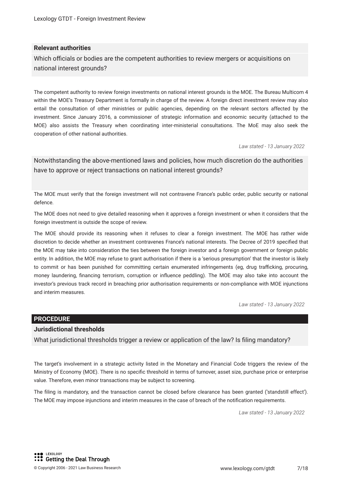#### **Relevant authorities**

Which officials or bodies are the competent authorities to review mergers or acquisitions on national interest grounds?

The competent authority to review foreign investments on national interest grounds is the MOE. The Bureau Multicom 4 within the MOE's Treasury Department is formally in charge of the review. A foreign direct investment review may also entail the consultation of other ministries or public agencies, depending on the relevant sectors affected by the investment. Since January 2016, a commissioner of strategic information and economic security (attached to the MOE) also assists the Treasury when coordinating inter-ministerial consultations. The MoE may also seek the cooperation of other national authorities.

*Law stated - 13 January 2022*

Notwithstanding the above-mentioned laws and policies, how much discretion do the authorities have to approve or reject transactions on national interest grounds?

The MOE must verify that the foreign investment will not contravene France's public order, public security or national defence.

The MOE does not need to give detailed reasoning when it approves a foreign investment or when it considers that the foreign investment is outside the scope of review.

The MOE should provide its reasoning when it refuses to clear a foreign investment. The MOE has rather wide discretion to decide whether an investment contravenes France's national interests. The Decree of 2019 specifed that the MOE may take into consideration the ties between the foreign investor and a foreign government or foreign public entity. In addition, the MOE may refuse to grant authorisation if there is a 'serious presumption' that the investor is likely to commit or has been punished for committing certain enumerated infringements (eg, drug trafficking, procuring, money laundering, fnancing terrorism, corruption or infuence peddling). The MOE may also take into account the investor's previous track record in breaching prior authorisation requirements or non-compliance with MOE injunctions and interim measures.

*Law stated - 13 January 2022*

#### **PROCEDURE**

#### **Jurisdictional thresholds**

What jurisdictional thresholds trigger a review or application of the law? Is fling mandatory?

The target's involvement in a strategic activity listed in the Monetary and Financial Code triggers the review of the Ministry of Economy (MOE). There is no specifc threshold in terms of turnover, asset size, purchase price or enterprise value. Therefore, even minor transactions may be subject to screening.

The fling is mandatory, and the transaction cannot be closed before clearance has been granted ('standstill effect'). The MOE may impose injunctions and interim measures in the case of breach of the notifcation requirements.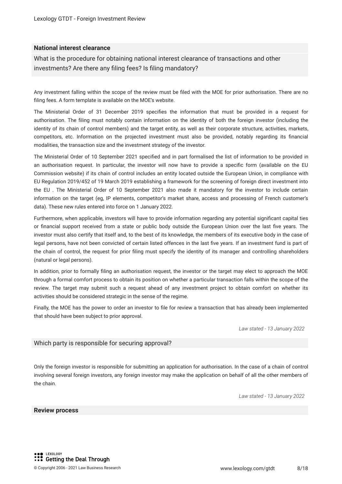#### **National interest clearance**

What is the procedure for obtaining national interest clearance of transactions and other investments? Are there any fling fees? Is fling mandatory?

Any investment falling within the scope of the review must be fled with the MOE for prior authorisation. There are no fling fees. A form template is available on the MOE's website.

The Ministerial Order of 31 December 2019 specifes the information that must be provided in a request for authorisation. The fling must notably contain information on the identity of both the foreign investor (including the identity of its chain of control members) and the target entity, as well as their corporate structure, activities, markets, competitors, etc. Information on the projected investment must also be provided, notably regarding its fnancial modalities, the transaction size and the investment strategy of the investor.

The Ministerial Order of 10 September 2021 specifed and in part formalised the list of information to be provided in an authorisation request. In particular, the investor will now have to provide a specifc form (available on the EU Commission website) if its chain of control includes an entity located outside the European Union, in compliance with EU Regulation 2019/452 of 19 March 2019 establishing a framework for the screening of foreign direct investment into the EU . The Ministerial Order of 10 September 2021 also made it mandatory for the investor to include certain information on the target (eg, IP elements, competitor's market share, access and processing of French customer's data). These new rules entered into force on 1 January 2022.

Furthermore, when applicable, investors will have to provide information regarding any potential signifcant capital ties or fnancial support received from a state or public body outside the European Union over the last fve years. The investor must also certify that itself and, to the best of its knowledge, the members of its executive body in the case of legal persons, have not been convicted of certain listed offences in the last fve years. If an investment fund is part of the chain of control, the request for prior fling must specify the identity of its manager and controlling shareholders (natural or legal persons).

In addition, prior to formally fling an authorisation request, the investor or the target may elect to approach the MOE through a formal comfort process to obtain its position on whether a particular transaction falls within the scope of the review. The target may submit such a request ahead of any investment project to obtain comfort on whether its activities should be considered strategic in the sense of the regime.

Finally, the MOE has the power to order an investor to fle for review a transaction that has already been implemented that should have been subject to prior approval.

*Law stated - 13 January 2022*

#### Which party is responsible for securing approval?

Only the foreign investor is responsible for submitting an application for authorisation. In the case of a chain of control involving several foreign investors, any foreign investor may make the application on behalf of all the other members of the chain.

*Law stated - 13 January 2022*

#### **Review process**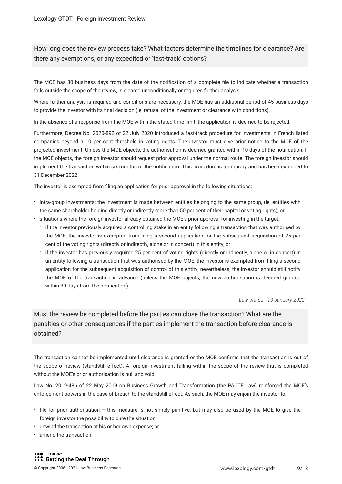How long does the review process take? What factors determine the timelines for clearance? Are there any exemptions, or any expedited or 'fast-track' options?

The MOE has 30 business days from the date of the notifcation of a complete fle to indicate whether a transaction falls outside the scope of the review, is cleared unconditionally or requires further analysis.

Where further analysis is required and conditions are necessary, the MOE has an additional period of 45 business days to provide the investor with its fnal decision (ie, refusal of the investment or clearance with conditions).

In the absence of a response from the MOE within the stated time limit, the application is deemed to be rejected.

Furthermore, Decree No. 2020-892 of 22 July 2020 introduced a fast-track procedure for investments in French listed companies beyond a 10 per cent threshold in voting rights. The investor must give prior notice to the MOE of the projected investment. Unless the MOE objects, the authorisation is deemed granted within 10 days of the notifcation. If the MOE objects, the foreign investor should request prior approval under the normal route. The foreign investor should implement the transaction within six months of the notifcation. This procedure is temporary and has been extended to 31 December 2022.

The investor is exempted from fling an application for prior approval in the following situations:

- intra-group investments: the investment is made between entities belonging to the same group, (ie, entities with the same shareholder holding directly or indirectly more than 50 per cent of their capital or voting rights); or
- situations where the foreign investor already obtained the MOE's prior approval for investing in the target:
	- if the investor previously acquired a controlling stake in an entity following a transaction that was authorised by the MOE, the investor is exempted from fling a second application for the subsequent acquisition of 25 per cent of the voting rights (directly or indirectly, alone or in concert) in this entity; or
	- if the investor has previously acquired 25 per cent of voting rights (directly or indirectly, alone or in concert) in an entity following a transaction that was authorised by the MOE, the investor is exempted from fling a second application for the subsequent acquisition of control of this entity; nevertheless, the investor should still notify the MOE of the transaction in advance (unless the MOE objects, the new authorisation is deemed granted within 30 days from the notifcation).

*Law stated - 13 January 2022*

Must the review be completed before the parties can close the transaction? What are the penalties or other consequences if the parties implement the transaction before clearance is obtained?

The transaction cannot be implemented until clearance is granted or the MOE confrms that the transaction is out of the scope of review (standstill effect). A foreign investment falling within the scope of the review that is completed without the MOE's prior authorisation is null and void.

Law No. 2019-486 of 22 May 2019 on Business Growth and Transformation (the PACTE Law) reinforced the MOE's enforcement powers in the case of breach to the standstill effect. As such, the MOE may enjoin the investor to:

- fle for prior authorisation this measure is not simply punitive, but may also be used by the MOE to give the foreign investor the possibility to cure the situation;
- unwind the transaction at his or her own expense; or
- amend the transaction.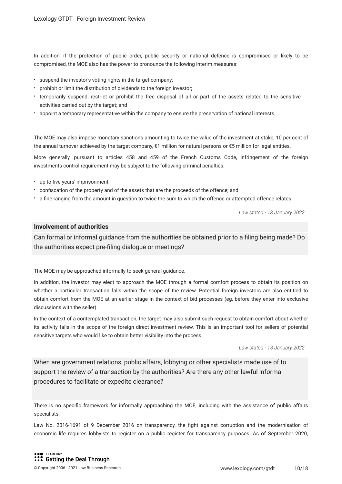In addition, if the protection of public order, public security or national defence is compromised or likely to be compromised, the MOE also has the power to pronounce the following interim measures:

- suspend the investor's voting rights in the target company;
- prohibit or limit the distribution of dividends to the foreign investor;
- temporarily suspend, restrict or prohibit the free disposal of all or part of the assets related to the sensitive activities carried out by the target; and
- appoint a temporary representative within the company to ensure the preservation of national interests.

The MOE may also impose monetary sanctions amounting to twice the value of the investment at stake, 10 per cent of the annual turnover achieved by the target company, €1 million for natural persons or €5 million for legal entities.

More generally, pursuant to articles 458 and 459 of the French Customs Code, infringement of the foreign investments control requirement may be subject to the following criminal penalties:

- up to fve years' imprisonment;
- confscation of the property and of the assets that are the proceeds of the offence; and
- a fne ranging from the amount in question to twice the sum to which the offence or attempted offence relates.

*Law stated - 13 January 2022*

#### **Involvement of authorities**

Can formal or informal guidance from the authorities be obtained prior to a fling being made? Do the authorities expect pre-fling dialogue or meetings?

The MOE may be approached informally to seek general guidance.

In addition, the investor may elect to approach the MOE through a formal comfort process to obtain its position on whether a particular transaction falls within the scope of the review. Potential foreign investors are also entitled to obtain comfort from the MOE at an earlier stage in the context of bid processes (eg, before they enter into exclusive discussions with the seller).

In the context of a contemplated transaction, the target may also submit such request to obtain comfort about whether its activity falls in the scope of the foreign direct investment review. This is an important tool for sellers of potential sensitive targets who would like to obtain better visibility into the process.

*Law stated - 13 January 2022*

When are government relations, public affairs, lobbying or other specialists made use of to support the review of a transaction by the authorities? Are there any other lawful informal procedures to facilitate or expedite clearance?

There is no specifc framework for informally approaching the MOE, including with the assistance of public affairs specialists.

Law No. 2016-1691 of 9 December 2016 on transparency, the fght against corruption and the modernisation of economic life requires lobbyists to register on a public register for transparency purposes. As of September 2020,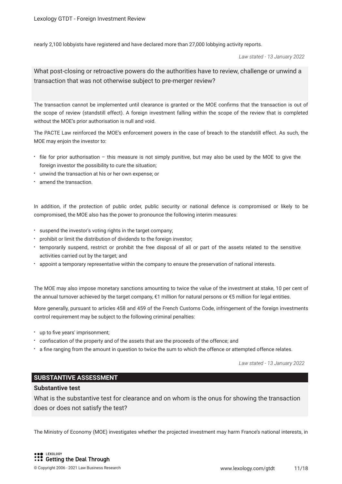nearly 2,100 lobbyists have registered and have declared more than 27,000 lobbying activity reports.

*Law stated - 13 January 2022*

What post-closing or retroactive powers do the authorities have to review, challenge or unwind a transaction that was not otherwise subject to pre-merger review?

The transaction cannot be implemented until clearance is granted or the MOE confrms that the transaction is out of the scope of review (standstill effect). A foreign investment falling within the scope of the review that is completed without the MOE's prior authorisation is null and void.

The PACTE Law reinforced the MOE's enforcement powers in the case of breach to the standstill effect. As such, the MOE may enjoin the investor to:

- fle for prior authorisation this measure is not simply punitive, but may also be used by the MOE to give the foreign investor the possibility to cure the situation;
- unwind the transaction at his or her own expense; or
- amend the transaction.

In addition, if the protection of public order, public security or national defence is compromised or likely to be compromised, the MOE also has the power to pronounce the following interim measures:

- \* suspend the investor's voting rights in the target company;
- prohibit or limit the distribution of dividends to the foreign investor;
- temporarily suspend, restrict or prohibit the free disposal of all or part of the assets related to the sensitive activities carried out by the target; and
- appoint a temporary representative within the company to ensure the preservation of national interests.

The MOE may also impose monetary sanctions amounting to twice the value of the investment at stake, 10 per cent of the annual turnover achieved by the target company, €1 million for natural persons or €5 million for legal entities.

More generally, pursuant to articles 458 and 459 of the French Customs Code, infringement of the foreign investments control requirement may be subject to the following criminal penalties:

- up to fve years' imprisonment;
- confscation of the property and of the assets that are the proceeds of the offence; and
- a fne ranging from the amount in question to twice the sum to which the offence or attempted offence relates.

*Law stated - 13 January 2022*

#### **SUBSTANTIVE ASSESSMENT**

#### **Substantive test**

What is the substantive test for clearance and on whom is the onus for showing the transaction does or does not satisfy the test?

The Ministry of Economy (MOE) investigates whether the projected investment may harm France's national interests, in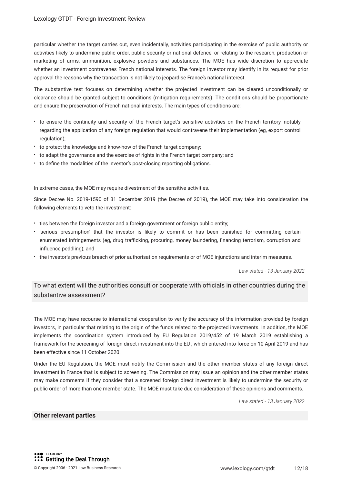particular whether the target carries out, even incidentally, activities participating in the exercise of public authority or activities likely to undermine public order, public security or national defence, or relating to the research, production or marketing of arms, ammunition, explosive powders and substances. The MOE has wide discretion to appreciate whether an investment contravenes French national interests. The foreign investor may identify in its request for prior approval the reasons why the transaction is not likely to jeopardise France's national interest.

The substantive test focuses on determining whether the projected investment can be cleared unconditionally or clearance should be granted subject to conditions (mitigation requirements). The conditions should be proportionate and ensure the preservation of French national interests. The main types of conditions are:

- to ensure the continuity and security of the French target's sensitive activities on the French territory, notably regarding the application of any foreign regulation that would contravene their implementation (eg, export control regulation);
- to protect the knowledge and know-how of the French target company;
- to adapt the governance and the exercise of rights in the French target company; and
- to define the modalities of the investor's post-closing reporting obligations.

In extreme cases, the MOE may require divestment of the sensitive activities.

Since Decree No. 2019-1590 of 31 December 2019 (the Decree of 2019), the MOE may take into consideration the following elements to veto the investment:

- ties between the foreign investor and a foreign government or foreign public entity;
- 'serious presumption' that the investor is likely to commit or has been punished for committing certain enumerated infringements (eg, drug trafficking, procuring, money laundering, financing terrorism, corruption and infuence peddling); and
- the investor's previous breach of prior authorisation requirements or of MOE injunctions and interim measures.

*Law stated - 13 January 2022*

To what extent will the authorities consult or cooperate with officials in other countries during the substantive assessment?

The MOE may have recourse to international cooperation to verify the accuracy of the information provided by foreign investors, in particular that relating to the origin of the funds related to the projected investments. In addition, the MOE implements the coordination system introduced by EU Regulation 2019/452 of 19 March 2019 establishing a framework for the screening of foreign direct investment into the EU , which entered into force on 10 April 2019 and has been effective since 11 October 2020.

Under the EU Regulation, the MOE must notify the Commission and the other member states of any foreign direct investment in France that is subject to screening. The Commission may issue an opinion and the other member states may make comments if they consider that a screened foreign direct investment is likely to undermine the security or public order of more than one member state. The MOE must take due consideration of these opinions and comments.

*Law stated - 13 January 2022*

#### **Other relevant parties**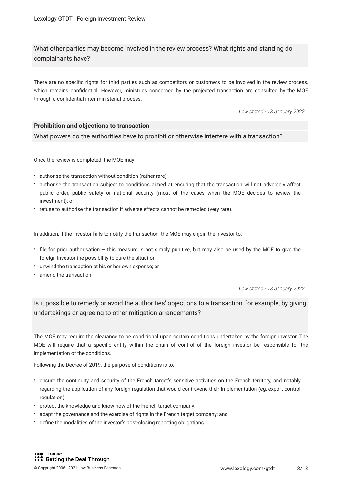What other parties may become involved in the review process? What rights and standing do complainants have?

There are no specifc rights for third parties such as competitors or customers to be involved in the review process, which remains confdential. However, ministries concerned by the projected transaction are consulted by the MOE through a confdential inter-ministerial process.

*Law stated - 13 January 2022*

#### **Prohibition and objections to transaction**

What powers do the authorities have to prohibit or otherwise interfere with a transaction?

Once the review is completed, the MOE may:

- authorise the transaction without condition (rather rare);
- authorise the transaction subject to conditions aimed at ensuring that the transaction will not adversely affect public order, public safety or national security (most of the cases when the MOE decides to review the investment); or
- refuse to authorise the transaction if adverse effects cannot be remedied (very rare).

In addition, if the investor fails to notify the transaction, the MOE may enjoin the investor to:

- fle for prior authorisation this measure is not simply punitive, but may also be used by the MOE to give the foreign investor the possibility to cure the situation;
- unwind the transaction at his or her own expense; or
- amend the transaction.

*Law stated - 13 January 2022*

Is it possible to remedy or avoid the authorities' objections to a transaction, for example, by giving undertakings or agreeing to other mitigation arrangements?

The MOE may require the clearance to be conditional upon certain conditions undertaken by the foreign investor. The MOE will require that a specifc entity within the chain of control of the foreign investor be responsible for the implementation of the conditions.

Following the Decree of 2019, the purpose of conditions is to:

- ensure the continuity and security of the French target's sensitive activities on the French territory, and notably regarding the application of any foreign regulation that would contravene their implementation (eg, export control regulation);
- protect the knowledge and know-how of the French target company;
- adapt the governance and the exercise of rights in the French target company; and
- defne the modalities of the investor's post-closing reporting obligations.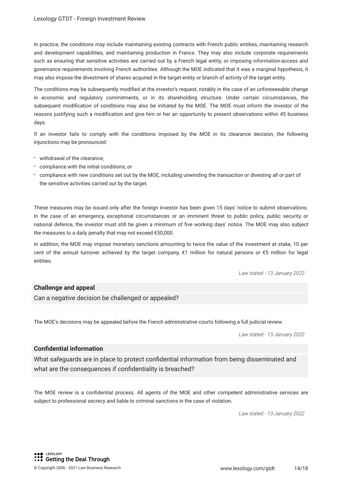In practice, the conditions may include maintaining existing contracts with French public entities, maintaining research and development capabilities, and maintaining production in France. They may also include corporate requirements such as ensuring that sensitive activities are carried out by a French legal entity, or imposing information-access and governance requirements involving French authorities. Although the MOE indicated that it was a marginal hypothesis, it may also impose the divestment of shares acquired in the target entity or branch of activity of the target entity.

The conditions may be subsequently modifed at the investor's request, notably in the case of an unforeseeable change in economic and regulatory commitments, or in its shareholding structure. Under certain circumstances, the subsequent modifcation of conditions may also be initiated by the MOE. The MOE must inform the investor of the reasons justifying such a modifcation and give him or her an opportunity to present observations within 45 business days.

If an investor fails to comply with the conditions imposed by the MOE in its clearance decision, the following injunctions may be pronounced:

- withdrawal of the clearance;
- compliance with the initial conditions; or
- compliance with new conditions set out by the MOE, including unwinding the transaction or divesting all or part of the sensitive activities carried out by the target.

These measures may be issued only after the foreign investor has been given 15 days' notice to submit observations. In the case of an emergency, exceptional circumstances or an imminent threat to public policy, public security or national defence, the investor must still be given a minimum of fve working days' notice. The MOE may also subject the measures to a daily penalty that may not exceed €50,000.

In addition, the MOE may impose monetary sanctions amounting to twice the value of the investment at stake, 10 per cent of the annual turnover achieved by the target company, €1 million for natural persons or €5 million for legal entities.

*Law stated - 13 January 2022*

#### **Challenge and appeal**

Can a negative decision be challenged or appealed?

The MOE's decisions may be appealed before the French administrative courts following a full judicial review.

*Law stated - 13 January 2022*

#### **Confdential information**

What safeguards are in place to protect confdential information from being disseminated and what are the consequences if confidentiality is breached?

The MOE review is a confdential process. All agents of the MOE and other competent administrative services are subject to professional secrecy and liable to criminal sanctions in the case of violation.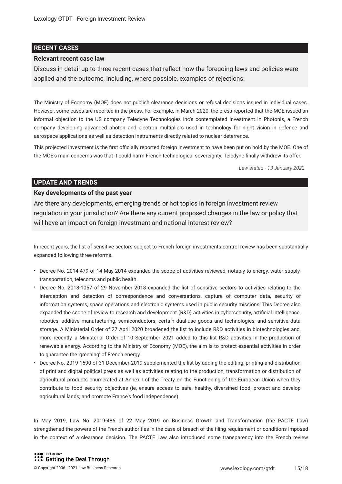#### **RECENT CASES**

#### **Relevant recent case law**

Discuss in detail up to three recent cases that refect how the foregoing laws and policies were applied and the outcome, including, where possible, examples of rejections.

The Ministry of Economy (MOE) does not publish clearance decisions or refusal decisions issued in individual cases. However, some cases are reported in the press. For example, in March 2020, the press reported that the MOE issued an informal objection to the US company Teledyne Technologies Inc's contemplated investment in Photonis, a French company developing advanced photon and electron multipliers used in technology for night vision in defence and aerospace applications as well as detection instruments directly related to nuclear deterrence.

This projected investment is the first officially reported foreign investment to have been put on hold by the MOE. One of the MOE's main concerns was that it could harm French technological sovereignty. Teledyne fnally withdrew its offer.

*Law stated - 13 January 2022*

#### **UPDATE AND TRENDS**

#### **Key developments of the past year**

Are there any developments, emerging trends or hot topics in foreign investment review regulation in your jurisdiction? Are there any current proposed changes in the law or policy that will have an impact on foreign investment and national interest review?

In recent years, the list of sensitive sectors subject to French foreign investments control review has been substantially expanded following three reforms.

- Decree No. 2014-479 of 14 May 2014 expanded the scope of activities reviewed, notably to energy, water supply, transportation, telecoms and public health.
- Decree No. 2018-1057 of 29 November 2018 expanded the list of sensitive sectors to activities relating to the interception and detection of correspondence and conversations, capture of computer data, security of information systems, space operations and electronic systems used in public security missions. This Decree also expanded the scope of review to research and development (R&D) activities in cybersecurity, artifcial intelligence, robotics, additive manufacturing, semiconductors, certain dual-use goods and technologies, and sensitive data storage. A Ministerial Order of 27 April 2020 broadened the list to include R&D activities in biotechnologies and, more recently, a Ministerial Order of 10 September 2021 added to this list R&D activities in the production of renewable energy. According to the Ministry of Economy (MOE), the aim is to protect essential activities in order to guarantee the 'greening' of French energy.
- Decree No. 2019-1590 of 31 December 2019 supplemented the list by adding the editing, printing and distribution of print and digital political press as well as activities relating to the production, transformation or distribution of agricultural products enumerated at Annex I of the Treaty on the Functioning of the European Union when they contribute to food security objectives (ie, ensure access to safe, healthy, diversifed food; protect and develop agricultural lands; and promote France's food independence).

In May 2019, Law No. 2019-486 of 22 May 2019 on Business Growth and Transformation (the PACTE Law) strengthened the powers of the French authorities in the case of breach of the fling requirement or conditions imposed in the context of a clearance decision. The PACTE Law also introduced some transparency into the French review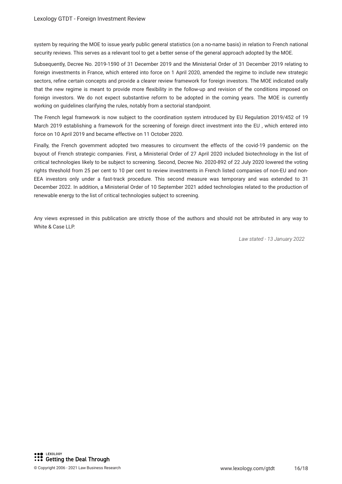system by requiring the MOE to issue yearly public general statistics (on a no-name basis) in relation to French national security reviews. This serves as a relevant tool to get a better sense of the general approach adopted by the MOE.

Subsequently, Decree No. 2019-1590 of 31 December 2019 and the Ministerial Order of 31 December 2019 relating to foreign investments in France, which entered into force on 1 April 2020, amended the regime to include new strategic sectors, refne certain concepts and provide a clearer review framework for foreign investors. The MOE indicated orally that the new regime is meant to provide more fexibility in the follow-up and revision of the conditions imposed on foreign investors. We do not expect substantive reform to be adopted in the coming years. The MOE is currently working on guidelines clarifying the rules, notably from a sectorial standpoint.

The French legal framework is now subject to the coordination system introduced by EU Regulation 2019/452 of 19 March 2019 establishing a framework for the screening of foreign direct investment into the EU , which entered into force on 10 April 2019 and became effective on 11 October 2020.

Finally, the French government adopted two measures to circumvent the effects of the covid-19 pandemic on the buyout of French strategic companies. First, a Ministerial Order of 27 April 2020 included biotechnology in the list of critical technologies likely to be subject to screening. Second, Decree No. 2020-892 of 22 July 2020 lowered the voting rights threshold from 25 per cent to 10 per cent to review investments in French listed companies of non-EU and non-EEA investors only under a fast-track procedure. This second measure was temporary and was extended to 31 December 2022. In addition, a Ministerial Order of 10 September 2021 added technologies related to the production of renewable energy to the list of critical technologies subject to screening.

Any views expressed in this publication are strictly those of the authors and should not be attributed in any way to White & Case LLP.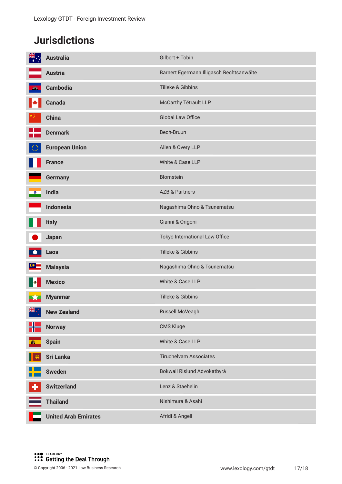# **Jurisdictions**

| <b>NK</b> | <b>Australia</b>            | Gilbert + Tobin                          |
|-----------|-----------------------------|------------------------------------------|
|           | <b>Austria</b>              | Barnert Egermann Illigasch Rechtsanwälte |
|           | <b>Cambodia</b>             | Tilleke & Gibbins                        |
| K         | <b>Canada</b>               | McCarthy Tétrault LLP                    |
|           | <b>China</b>                | Global Law Office                        |
|           | <b>Denmark</b>              | Bech-Bruun                               |
|           | <b>European Union</b>       | Allen & Overy LLP                        |
|           | <b>France</b>               | White & Case LLP                         |
|           | <b>Germany</b>              | Blomstein                                |
| $\bullet$ | India                       | <b>AZB &amp; Partners</b>                |
|           | <b>Indonesia</b>            | Nagashima Ohno & Tsunematsu              |
|           | <b>Italy</b>                | Gianni & Origoni                         |
|           | Japan                       | Tokyo International Law Office           |
|           | Laos                        | Tilleke & Gibbins                        |
|           | <b>Malaysia</b>             | Nagashima Ohno & Tsunematsu              |
|           | <b>Mexico</b>               | White & Case LLP                         |
|           | <b>Myanmar</b>              | Tilleke & Gibbins                        |
| NK .      | <b>New Zealand</b>          | Russell McVeagh                          |
|           | <b>Norway</b>               | CMS Kluge                                |
| - and     | <b>Spain</b>                | White & Case LLP                         |
|           | <b>Sri Lanka</b>            | <b>Tiruchelvam Associates</b>            |
|           | <b>Sweden</b>               | Bokwall Rislund Advokatbyrå              |
|           | <b>Switzerland</b>          | Lenz & Staehelin                         |
|           | <b>Thailand</b>             | Nishimura & Asahi                        |
|           | <b>United Arab Emirates</b> | Afridi & Angell                          |